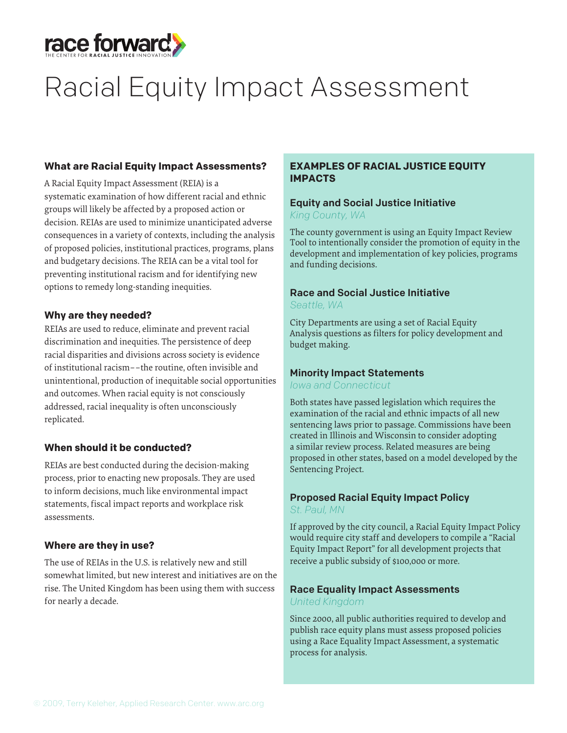

# Racial Equity Impact Assessment

### **What are Racial Equity Impact Assessments?**

A Racial Equity Impact Assessment (REIA) is a systematic examination of how different racial and ethnic groups will likely be affected by a proposed action or decision. REIAs are used to minimize unanticipated adverse consequences in a variety of contexts, including the analysis of proposed policies, institutional practices, programs, plans and budgetary decisions. The REIA can be a vital tool for preventing institutional racism and for identifying new options to remedy long-standing inequities.

### **Why are they needed?**

REIAs are used to reduce, eliminate and prevent racial discrimination and inequities. The persistence of deep racial disparities and divisions across society is evidence of institutional racism––the routine, often invisible and unintentional, production of inequitable social opportunities and outcomes. When racial equity is not consciously addressed, racial inequality is often unconsciously replicated.

### **When should it be conducted?**

REIAs are best conducted during the decision-making process, prior to enacting new proposals. They are used to inform decisions, much like environmental impact statements, fiscal impact reports and workplace risk assessments.

### **Where are they in use?**

The use of REIAs in the U.S. is relatively new and still somewhat limited, but new interest and initiatives are on the rise. The United Kingdom has been using them with success for nearly a decade.

### **EXAMPLES OF RACIAL JUSTICE EQUITY IMPACTS**

### Equity and Social Justice Initiative *King County, WA*

The county government is using an Equity Impact Review Tool to intentionally consider the promotion of equity in the development and implementation of key policies, programs and funding decisions.

## Race and Social Justice Initiative

*Seattle, WA*

City Departments are using a set of Racial Equity Analysis questions as filters for policy development and budget making.

### Minority Impact Statements

### *Iowa and Connecticut*

Both states have passed legislation which requires the examination of the racial and ethnic impacts of all new sentencing laws prior to passage. Commissions have been created in Illinois and Wisconsin to consider adopting a similar review process. Related measures are being proposed in other states, based on a model developed by the Sentencing Project.

### Proposed Racial Equity Impact Policy

*St. Paul, MN* 

If approved by the city council, a Racial Equity Impact Policy would require city staff and developers to compile a "Racial Equity Impact Report" for all development projects that receive a public subsidy of \$100,000 or more.

### Race Equality Impact Assessments

### *United Kingdom*

Since 2000, all public authorities required to develop and publish race equity plans must assess proposed policies using a Race Equality Impact Assessment, a systematic process for analysis.